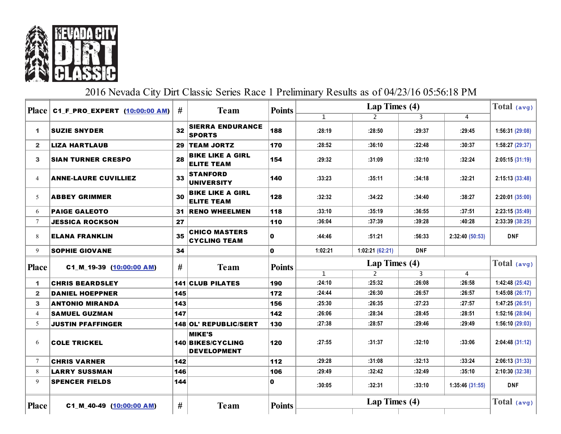

## 2016 Nevada City Dirt Classic Series Race 1 Preliminary Results as of 04/23/16 05:56:18 PM

|              | $Place $ C1 F PRO EXPERT $(10:00:00 \text{ AM})$ | #   | <b>Team</b>                                              | <b>Points</b> | Lap Times (4) |                 |            |                 | Total (avg)     |
|--------------|--------------------------------------------------|-----|----------------------------------------------------------|---------------|---------------|-----------------|------------|-----------------|-----------------|
|              |                                                  |     |                                                          |               | $\mathbf{1}$  | $\overline{2}$  | 3          | $\overline{4}$  |                 |
| 1            | <b>SUZIE SNYDER</b>                              | 32  | <b>SIERRA ENDURANCE</b><br><b>SPORTS</b>                 | 188           | :28:19        | :28:50          | :29:37     | :29:45          | 1:56:31(29:08)  |
| $\mathbf{2}$ | <b>LIZA HARTLAUB</b>                             | 29  | <b>TEAM JORTZ</b>                                        | 170           | :28:52        | :36:10          | :22:48     | :30:37          | 1:58:27 (29:37) |
| $\mathbf{3}$ | <b>SIAN TURNER CRESPO</b>                        | 28  | <b>BIKE LIKE A GIRL</b><br><b>ELITE TEAM</b>             | 154           | :29:32        | :31:09          | :32:10     | :32:24          | 2:05:15(31:19)  |
| 4            | <b>ANNE-LAURE CUVILLIEZ</b>                      | 33  | <b>STANFORD</b><br><b>UNIVERSITY</b>                     | 140           | :33:23        | :35:11          | :34:18     | :32:21          | 2:15:13 (33:48) |
| 5            | <b>ABBEY GRIMMER</b>                             | 30  | <b>BIKE LIKE A GIRL</b><br><b>ELITE TEAM</b>             | 128           | :32:32        | :34:22          | :34:40     | :38:27          | 2:20:01 (35:00) |
| 6            | <b>PAIGE GALEOTO</b>                             | 31  | <b>RENO WHEELMEN</b>                                     | 118           | :33:10        | :35:19          | :36:55     | :37:51          | 2:23:15 (35:49) |
| $\tau$       | <b>JESSICA ROCKSON</b>                           | 27  |                                                          | 110           | :36:04        | :37:39          | :39:28     | :40:28          | 2:33:39 (38:25) |
| 8            | <b>ELANA FRANKLIN</b>                            | 35  | <b>CHICO MASTERS</b><br><b>CYCLING TEAM</b>              | 0             | :44:46        | :51:21          | :56:33     | 2:32:40 (50:53) | <b>DNF</b>      |
| 9            | <b>SOPHIE GIOVANE</b>                            | 34  |                                                          | $\mathbf 0$   | 1:02:21       | 1:02:21 (62:21) | <b>DNF</b> |                 |                 |
|              |                                                  |     |                                                          |               | Lap Times (4) |                 |            |                 |                 |
| <b>Place</b> | C1_M_19-39 (10:00:00 AM)                         | #   |                                                          | <b>Points</b> |               |                 |            |                 | Total (avg)     |
|              |                                                  |     | <b>Team</b>                                              |               | $\mathbf{1}$  | 2               | 3          | 4               |                 |
| 1            | <b>CHRIS BEARDSLEY</b>                           |     | <b>141 CLUB PILATES</b>                                  | 190           | :24:10        | :25:32          | :26:08     | :26:58          | 1:42:48 (25:42) |
| $\mathbf{2}$ | <b>DANIEL HOEPPNER</b>                           | 145 |                                                          | 172           | :24:44        | :26:30          | :26:57     | :26:57          | 1:45:08(26:17)  |
| 3            | <b>ANTONIO MIRANDA</b>                           | 143 |                                                          | 156           | :25:30        | :26:35          | :27:23     | :27:57          | 1:47:25(26:51)  |
| 4            | <b>SAMUEL GUZMAN</b>                             | 147 |                                                          | 142           | :26:06        | :28:34          | :28:45     | :28:51          | 1:52:16(28:04)  |
| 5            | <b>JUSTIN PFAFFINGER</b>                         |     | 148 OL' REPUBLIC/SERT                                    | 130           | :27:38        | :28:57          | :29:46     | :29:49          | 1:56:10(29:03)  |
| 6            | <b>COLE TRICKEL</b>                              |     | <b>MIKE'S</b><br>140 BIKES/CYCLING<br><b>DEVELOPMENT</b> | 120           | :27:55        | :31:37          | :32:10     | :33:06          | 2:04:48 (31:12) |
| $\tau$       | <b>CHRIS VARNER</b>                              | 142 |                                                          | 112           | :29:28        | :31:08          | :32:13     | :33:24          | 2:06:13(31:33)  |
| 8            | <b>LARRY SUSSMAN</b>                             | 146 |                                                          | 106           | :29:49        | :32:42          | :32:49     | :35:10          | 2:10:30 (32:38) |
| 9            | <b>SPENCER FIELDS</b>                            | 144 |                                                          | $\mathbf 0$   | :30:05        | :32:31          | :33:10     | 1:35:46 (31:55) | <b>DNF</b>      |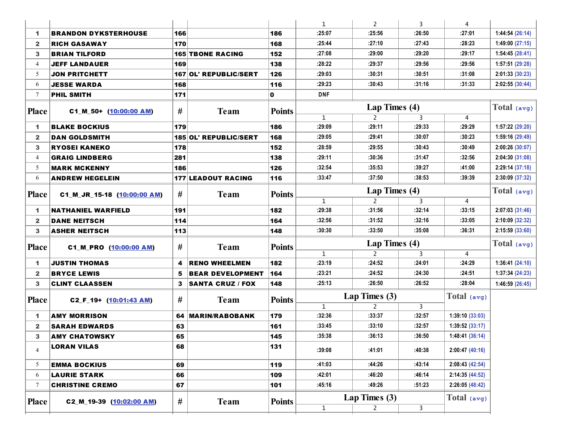|                   |                                             |        |                           |               | 1                      | 2                               | 3           | 4               |                 |
|-------------------|---------------------------------------------|--------|---------------------------|---------------|------------------------|---------------------------------|-------------|-----------------|-----------------|
| 1.                | <b>BRANDON DYKSTERHOUSE</b>                 | 166    |                           | 186           | :25:07                 | :25:56                          | :26:50      | :27:01          | 1:44:54(26:14)  |
| $\mathbf{2}$      | <b>RICH GASAWAY</b>                         | 170    |                           | 168           | :25:44                 | :27:10                          | :27:43      | :28:23          | 1:49:00(27:15)  |
| 3                 | <b>BRIAN TILFORD</b>                        |        | <b>165 TBONE RACING</b>   | 152           | :27:08                 | :29:00                          | :29:20      | :29:17          | 1:54:45(28:41)  |
| 4                 | <b>JEFF LANDAUER</b>                        | 169    |                           | 138           | :28:22                 | :29:37                          | :29:56      | :29:56          | 1:57:51 (29:28) |
| 5                 | <b>JON PRITCHETT</b>                        |        | 167 OL' REPUBLIC/SERT     | 126           | :29:03                 | :30:31                          | :30:51      | :31:08          | 2:01:33(30:23)  |
| 6                 | <b>JESSE WARDA</b>                          | 168    |                           | 116           | :29:23                 | :30:43                          | :31:16      | :31:33          | 2:02:55(30:44)  |
| 7                 | <b>PHIL SMITH</b>                           | 171    |                           | 0             | <b>DNF</b>             |                                 |             |                 |                 |
| <b>Place</b>      | C1_M_50+ (10:00:00 AM)                      | #      | <b>Team</b>               | <b>Points</b> |                        | Lap Times (4)                   |             |                 | Total $(avg)$   |
|                   |                                             |        |                           |               | 1                      | $\overline{2}$                  | 3           | 4               |                 |
| 1.                | <b>BLAKE BOCKIUS</b>                        | 179    |                           | 186           | :29:09                 | :29:11                          | :29:33      | :29:29          | 1:57:22 (29:20) |
| $\mathbf{2}$      | DAN GOLDSMITH                               |        | 185 OL' REPUBLIC/SERT     | 168           | :29:05                 | :29:41                          | :30:07      | :30:23          | 1:59:16 (29:49) |
| 3                 | <b>RYOSEI KANEKO</b>                        | 178    |                           | 152           | :28:59                 | :29:55                          | :30:43      | :30:49          | 2:00:26 (30:07) |
| 4                 | <b>GRAIG LINDBERG</b>                       | 281    |                           | 138           | :29:11                 | :30:36                          | :31:47      | :32:56          | 2:04:30(31:08)  |
| 5                 | <b>MARK MCKENNY</b>                         | 186    |                           | 126           | :32:54                 | :35:53                          | :39:27      | :41:00          | 2:29:14(37:18)  |
| 6                 | <b>ANDREW HEGELEIN</b>                      |        | <b>177 LEADOUT RACING</b> | 116           | :33:47                 | :37:50                          | :38:53      | :39:39          | 2:30:09 (37:32) |
| <b>Place</b>      | C1_M_JR_15-18 (10:00:00 AM)                 | #      | <b>Team</b>               | <b>Points</b> | $\mathbf{1}$           | Lap Times (4)<br>$\overline{2}$ | 3           | $\overline{4}$  | Total (avg)     |
| 1                 | <b>NATHANIEL WARFIELD</b>                   | 191    |                           | 182           | :29:38                 | :31:56                          | :32:14      | :33:15          | 2:07:03 (31:46) |
| $\mathbf{2}$      | <b>DANE NEITSCH</b>                         | 114    |                           | 164           | :32:56                 | :31:52                          | :32:16      | :33:05          | 2:10:09(32:32)  |
| 3                 | <b>ASHER NEITSCH</b>                        | 113    |                           | 148           | :30:30                 | :33:50                          | :35:08      | :36:31          | 2:15:59(33:60)  |
| <b>Place</b>      | C1_M_PRO (10:00:00 AM)                      | #      | <b>Team</b>               | <b>Points</b> |                        | Lap Times (4)                   |             |                 | Total $(avg)$   |
|                   |                                             |        |                           |               | $\mathbf{1}$<br>:23:19 | $\overline{2}$<br>:24:52        | 3<br>:24:01 | 4<br>:24:29     | 1:36:41(24:10)  |
| 1.                | JUSTIN THOMAS                               | 4      | <b>RENO WHEELMEN</b>      | 182           | :23:21                 | :24:52                          | :24:30      | :24:51          | 1:37:34(24:23)  |
| $\mathbf{2}$<br>3 | <b>BRYCE LEWIS</b><br><b>CLINT CLAASSEN</b> | 5<br>3 | <b>BEAR DEVELOPMENT</b>   | 164<br>148    | :25:13                 | :26:50                          | :26:52      | :28:04          |                 |
|                   |                                             |        | <b>SANTA CRUZ / FOX</b>   |               |                        |                                 |             |                 | 1:46:59(26:45)  |
| <b>Place</b>      | $C2_F_19 + (10:01:43 AM)$                   | #      | <b>Team</b>               | <b>Points</b> |                        | Lap Times (3)                   |             | Total (avg)     |                 |
|                   |                                             |        |                           |               | 1                      | $\mathbf{2}^{\prime}$           | 3           |                 |                 |
| 1                 | <b>AMY MORRISON</b>                         | 64     | <b>MARIN/RABOBANK</b>     | 179           | :32:36                 | :33:37                          | :32:57      | 1:39:10(33:03)  |                 |
| 2                 | <b>SARAH EDWARDS</b>                        | 63     |                           | 161           | :33:45                 | :33:10                          | :32:57      | 1:39:52(33:17)  |                 |
| 3                 | <b>AMY CHATOWSKY</b>                        | 65     |                           | 145           | :35:38                 | :36:13                          | :36:50      | 1:48:41 (36:14) |                 |
| $\overline{4}$    | <b>LORAN VILAS</b>                          | 68     |                           | 131           | :39:08                 | :41:01                          | :40:38      | 2:00:47(40:16)  |                 |
| 5                 | <b>EMMA BOCKIUS</b>                         | 69     |                           | 119           | :41:03                 | :44:26                          | :43:14      | 2:08:43(42:54)  |                 |
| 6                 | <b>LAURIE STARK</b>                         | 66     |                           | 109           | :42:01                 | :46:20                          | :46:14      | 2:14:35 (44:52) |                 |
| 7                 | <b>CHRISTINE CREMO</b>                      | 67     |                           | 101           | :45:16                 | :49:26                          | :51:23      | 2:26:05 (48:42) |                 |
| <b>Place</b>      |                                             |        | <b>Team</b>               | <b>Points</b> |                        | Lap Times (3)                   |             | Total (avg)     |                 |
|                   | C2_M_19-39 (10:02:00 AM)                    | #      |                           |               | $\mathbf{1}$           | $\mathbf{2}$                    | 3           |                 |                 |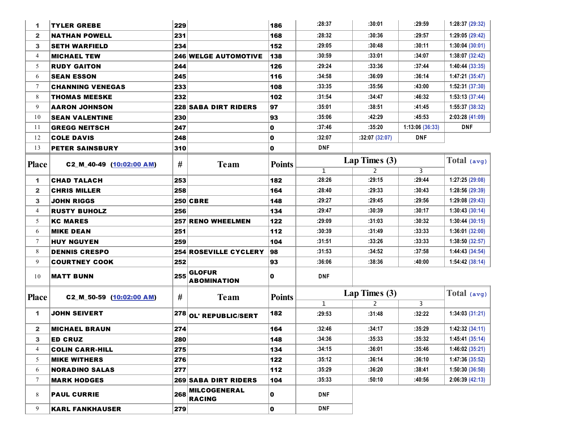| 1              | <b>TYLER GREBE</b>       | 229 |                                      | 186           | :28:37       | :30:01         | :29:59          | 1:28:37 (29:32) |
|----------------|--------------------------|-----|--------------------------------------|---------------|--------------|----------------|-----------------|-----------------|
| $\mathbf{2}$   | <b>NATHAN POWELL</b>     | 231 |                                      | 168           | :28:32       | :30:36         | :29:57          | 1:29:05 (29:42) |
| 3              | <b>SETH WARFIELD</b>     | 234 |                                      | 152           | :29:05       | :30:48         | :30:11          | 1:30:04(30:01)  |
| $\overline{4}$ | <b>MICHAEL TEW</b>       |     | <b>246 WELGE AUTOMOTIVE</b>          | 138           | :30:59       | :33:01         | :34:07          | 1:38:07 (32:42) |
| 5              | <b>RUDY GAITON</b>       | 244 |                                      | 126           | :29:24       | :33:36         | :37:44          | 1:40:44(33:35)  |
| 6              | <b>SEAN ESSON</b>        | 245 |                                      | 116           | :34:58       | :36:09         | :36:14          | 1:47:21(35:47)  |
| $\tau$         | <b>CHANNING VENEGAS</b>  | 233 |                                      | 108           | :33:35       | :35:56         | :43:00          | 1:52:31 (37:30) |
| 8              | <b>THOMAS MEESKE</b>     | 232 |                                      | 102           | :31:54       | :34:47         | :46:32          | 1:53:13(37:44)  |
| 9              | <b>AARON JOHNSON</b>     |     | <b>228 SABA DIRT RIDERS</b>          | 97            | :35:01       | :38:51         | :41:45          | 1:55:37 (38:32) |
| 10             | <b>SEAN VALENTINE</b>    | 230 |                                      | 93            | :35:06       | :42:29         | :45:53          | 2:03:28 (41:09) |
| 11             | <b>GREGG NEITSCH</b>     | 247 |                                      | 0             | :37:46       | :35:20         | 1:13:06 (36:33) | <b>DNF</b>      |
| 12             | <b>COLE DAVIS</b>        | 248 |                                      | $\mathbf 0$   | :32:07       | :32:07(32:07)  | <b>DNF</b>      |                 |
| 13             | <b>PETER SAINSBURY</b>   | 310 |                                      | $\mathbf 0$   | <b>DNF</b>   |                |                 |                 |
| <b>Place</b>   | C2_M_40-49 (10:02:00 AM) | #   | <b>Team</b>                          | <b>Points</b> |              | Lap Times (3)  |                 | Total $(avg)$   |
|                |                          |     |                                      |               | $\mathbf{1}$ | $\overline{2}$ | 3               |                 |
| 1              | <b>CHAD TALACH</b>       | 253 |                                      | 182           | :28:26       | :29:15         | :29:44          | 1:27:25 (29:08) |
| $\mathbf{2}$   | <b>CHRIS MILLER</b>      | 258 |                                      | 164           | :28:40       | :29:33         | :30:43          | 1:28:56 (29:39) |
| 3              | <b>JOHN RIGGS</b>        |     | <b>250 CBRE</b>                      | 148           | :29:27       | :29:45         | :29:56          | 1:29:08 (29:43) |
| 4              | <b>RUSTY BUHOLZ</b>      | 256 |                                      | 134           | :29:47       | :30:39         | :30:17          | 1:30:43(30:14)  |
| 5              | <b>KC MARES</b>          |     | 257 RENO WHEELMEN                    | 122           | :29:09       | :31:03         | :30:32          | 1:30:44(30:15)  |
| 6              | <b>MIKE DEAN</b>         | 251 |                                      | 112           | :30:39       | :31:49         | :33:33          | 1:36:01(32:00)  |
| $\tau$         | <b>HUY NGUYEN</b>        | 259 |                                      | 104           | :31:51       | :33:26         | :33:33          | 1:38:50(32:57)  |
| 8              | <b>DENNIS CRESPO</b>     |     | 254 ROSEVILLE CYCLERY                | 98            | :31:53       | :34:52         | :37:58          | 1:44:43(34:54)  |
| 9              | <b>COURTNEY COOK</b>     | 252 |                                      | 93            | :36:06       | :38:36         | :40:00          | 1:54:42(38:14)  |
| 10             | <b>MATT BUNN</b>         | 255 | <b>GLOFUR</b><br><b>ABOMINATION</b>  | 0             | <b>DNF</b>   |                |                 |                 |
|                |                          |     |                                      |               |              | Lap Times (3)  | Total (avg)     |                 |
| <b>Place</b>   | C2_M_50-59 (10:02:00 AM) | #   | <b>Team</b>                          | <b>Points</b> | $\mathbf{1}$ | $\overline{2}$ | 3               |                 |
| 1.             | <b>JOHN SEIVERT</b>      |     | $\vert^{278}\vert$ OL' REPUBLIC/SERT | 182           | :29:53       | :31:48         | :32:22          | 1:34:03(31:21)  |
| $\mathbf{2}$   | <b>MICHAEL BRAUN</b>     | 274 |                                      | 164           | :32:46       | :34:17         | :35:29          | 1:42:32(34:11)  |
| 3              | <b>ED CRUZ</b>           | 280 |                                      | 148           | :34:36       | :35:33         | :35:32          | 1:45:41(35:14)  |
| 4              | <b>COLIN CARR-HILL</b>   | 275 |                                      | 134           | :34:15       | :36:01         | :35:46          | 1:46:02(35:21)  |
| 5              | <b>MIKE WITHERS</b>      | 276 |                                      | 122           | :35:12       | :36:14         | :36:10          | 1:47:36(35:52)  |
| 6              | <b>NORADINO SALAS</b>    | 277 |                                      | 112           | :35:29       | :36:20         | :38:41          | 1:50:30(36:50)  |
| $\tau$         | <b>MARK HODGES</b>       |     | <b>269 SABA DIRT RIDERS</b>          | 104           | :35:33       | :50:10         | :40:56          | 2:06:39(42:13)  |
| 8              | <b>PAUL CURRIE</b>       | 268 | <b>MILCOGENERAL</b><br><b>RACING</b> | 0             | <b>DNF</b>   |                |                 |                 |
| 9              | <b>KARL FANKHAUSER</b>   | 279 |                                      | 0             | <b>DNF</b>   |                |                 |                 |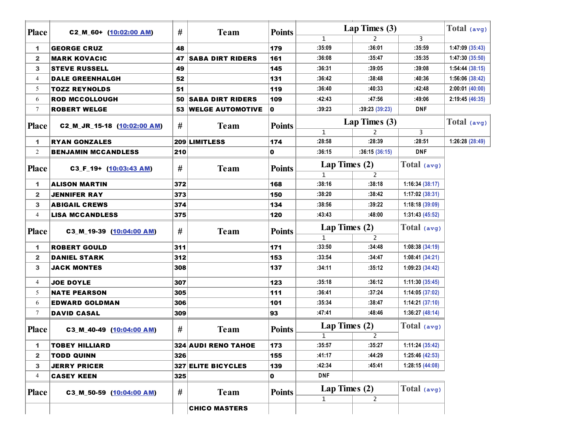| <b>Place</b>   | C2_M_60+ (10:02:00 AM)      | #   | <b>Team</b>                | <b>Points</b> | Lap Times (3) | Total (avg)     |                |                 |
|----------------|-----------------------------|-----|----------------------------|---------------|---------------|-----------------|----------------|-----------------|
|                |                             |     |                            |               | 1             | 2               | 3              |                 |
| 1              | <b>GEORGE CRUZ</b>          | 48  |                            | 179           | :35:09        | :36:01          | :35:59         | 1:47:09 (35:43) |
| $\mathbf{2}$   | <b>MARK KOVACIC</b>         | 47  | <b>SABA DIRT RIDERS</b>    | 161           | :36:08        | :35:47          | :35:35         | 1:47:30 (35:50) |
| 3              | <b>STEVE RUSSELL</b>        | 49  |                            | 145           | :36:31        | :39:05          | :39:08         | 1:54:44(38:15)  |
| $\overline{4}$ | <b>DALE GREENHALGH</b>      | 52  |                            | 131           | :36:42        | :38:48          | :40:36         | 1:56:06 (38:42) |
| 5              | <b>TOZZ REYNOLDS</b>        | 51  |                            | 119           | :36:40        | :40:33          | :42:48         | 2:00:01(40:00)  |
| 6              | <b>ROD MCCOLLOUGH</b>       | 50  | <b>SABA DIRT RIDERS</b>    | 109           | :42:43        | :47:56          | :49:06         | 2:19:45(46:35)  |
| $\tau$         | <b>ROBERT WELGE</b>         |     | 53 WELGE AUTOMOTIVE        | 0             | :39:23        | :39:23(39:23)   | <b>DNF</b>     |                 |
|                |                             | #   |                            |               |               | Lap Times $(3)$ |                | Total $(avg)$   |
| <b>Place</b>   | C2_M_JR_15-18 (10:02:00 AM) |     | <b>Team</b>                | <b>Points</b> | $\mathbf{1}$  | 2               | 3              |                 |
| 1              | <b>RYAN GONZALES</b>        |     | 209 LIMITLESS              | 174           | :28:58        | :28:39          | :28:51         | 1:26:28 (28:49) |
| 2              | <b>BENJAMIN MCCANDLESS</b>  | 210 |                            | 0             | :36:15        | :36:15(36:15)   | <b>DNF</b>     |                 |
| <b>Place</b>   | C3_F_19+ (10:03:43 AM)      | #   | <b>Team</b>                | <b>Points</b> | Lap Times (2) |                 | Total $(avg)$  |                 |
|                |                             |     |                            |               | $\mathbf{1}$  | 2               |                |                 |
| 1              | <b>ALISON MARTIN</b>        | 372 |                            | 168           | :38:16        | :38:18          | 1:16:34(38:17) |                 |
| $\mathbf{2}$   | <b>JENNIFER RAY</b>         | 373 |                            | 150           | :38:20        | :38:42          | 1:17:02(38:31) |                 |
| 3              | <b>ABIGAIL CREWS</b>        | 374 |                            | 134           | :38:56        | :39:22          | 1:18:18(39:09) |                 |
| $\overline{4}$ | <b>LISA MCCANDLESS</b>      | 375 |                            | 120           | :43:43        | :48:00          | 1:31:43(45:52) |                 |
| <b>Place</b>   | C3 M_19-39 (10:04:00 AM)    | #   | <b>Team</b>                | <b>Points</b> | Lap Times (2) |                 | Total (avg)    |                 |
|                |                             |     |                            |               | $\mathbf{1}$  | $\overline{2}$  |                |                 |
| 1              | <b>ROBERT GOULD</b>         | 311 |                            | 171           | :33:50        | :34:48          | 1:08:38(34:19) |                 |
| $\mathbf{2}$   | <b>DANIEL STARK</b>         | 312 |                            | 153           | :33:54        | :34:47          | 1:08:41(34:21) |                 |
| 3              | <b>JACK MONTES</b>          | 308 |                            | 137           | :34:11        | :35:12          | 1:09:23(34:42) |                 |
| $\overline{4}$ | <b>JOE DOYLE</b>            | 307 |                            | 123           | :35:18        | :36:12          | 1:11:30(35:45) |                 |
| 5              | <b>NATE PEARSON</b>         | 305 |                            | 111           | :36:41        | :37:24          | 1:14:05(37:02) |                 |
| 6              | <b>EDWARD GOLDMAN</b>       | 306 |                            | 101           | :35:34        | :38:47          | 1:14:21(37:10) |                 |
| $\tau$         | <b>DAVID CASAL</b>          | 309 |                            | 93            | :47:41        | :48:46          | 1:36:27(48:14) |                 |
| <b>Place</b>   | C3_M_40-49 (10:04:00 AM)    | #   | <b>Team</b>                | <b>Points</b> | Lap Times (2) |                 | Total (avg)    |                 |
|                |                             |     |                            |               | $\mathbf{1}$  | 2               |                |                 |
| 1              | <b>TOBEY HILLIARD</b>       |     | <b>324 AUDI RENO TAHOE</b> | 173           | :35:57        | :35:27          | 1:11:24(35:42) |                 |
| $\mathbf{2}$   | <b>TODD QUINN</b>           | 326 |                            | 155           | :41:17        | :44:29          | 1:25:46(42:53) |                 |
| 3              | <b>JERRY PRICER</b>         |     | <b>327 ELITE BICYCLES</b>  | 139           | :42:34        | :45:41          | 1:28:15(44:08) |                 |
| $\overline{4}$ | <b>CASEY KEEN</b>           | 325 |                            | 0             | <b>DNF</b>    |                 |                |                 |
| <b>Place</b>   | C3_M_50-59 (10:04:00 AM)    | #   | <b>Team</b>                | <b>Points</b> | Lap Times (2) |                 | Total $(avg)$  |                 |
|                |                             |     |                            |               | $\mathbf{1}$  | $\overline{2}$  |                |                 |
|                |                             |     | <b>CHICO MASTERS</b>       |               |               |                 |                |                 |